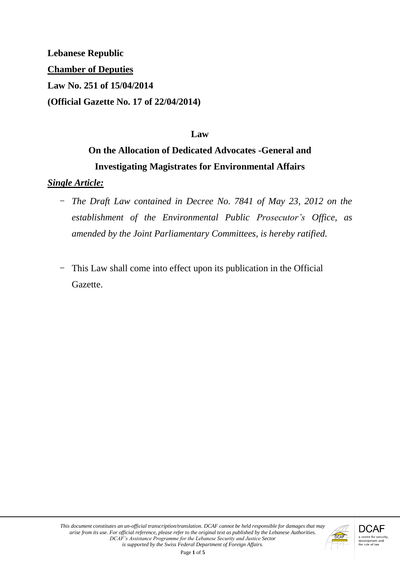**Lebanese Republic Chamber of Deputies Law No. 251 of 15/04/2014 (Official Gazette No. 17 of 22/04/2014)**

### **Law**

# **On the Allocation of Dedicated Advocates -General and Investigating Magistrates for Environmental Affairs**

#### *Single Article:*

- *The Draft Law contained in Decree No. 7841 of May 23, 2012 on the establishment of the Environmental Public Prosecutor's Office, as amended by the Joint Parliamentary Committees, is hereby ratified.*
- This Law shall come into effect upon its publication in the Official Gazette.

Page **1** of **5**

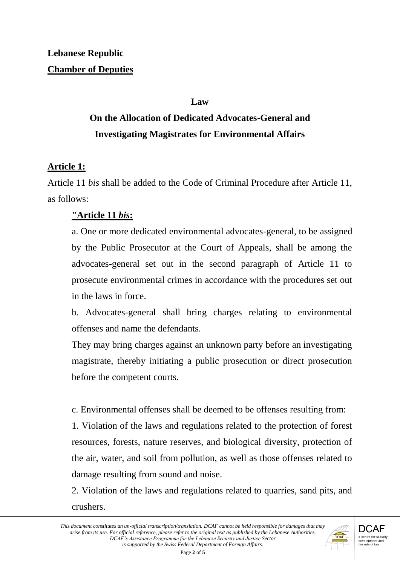#### **Law**

# **On the Allocation of Dedicated Advocates-General and Investigating Magistrates for Environmental Affairs**

## **Article 1:**

Article 11 *bis* shall be added to the Code of Criminal Procedure after Article 11, as follows:

## **"Article 11** *bis***:**

a. One or more dedicated environmental advocates-general, to be assigned by the Public Prosecutor at the Court of Appeals, shall be among the advocates-general set out in the second paragraph of Article 11 to prosecute environmental crimes in accordance with the procedures set out in the laws in force.

b. Advocates-general shall bring charges relating to environmental offenses and name the defendants.

They may bring charges against an unknown party before an investigating magistrate, thereby initiating a public prosecution or direct prosecution before the competent courts.

c. Environmental offenses shall be deemed to be offenses resulting from:

1. Violation of the laws and regulations related to the protection of forest resources, forests, nature reserves, and biological diversity, protection of the air, water, and soil from pollution, as well as those offenses related to damage resulting from sound and noise.

2. Violation of the laws and regulations related to quarries, sand pits, and crushers.

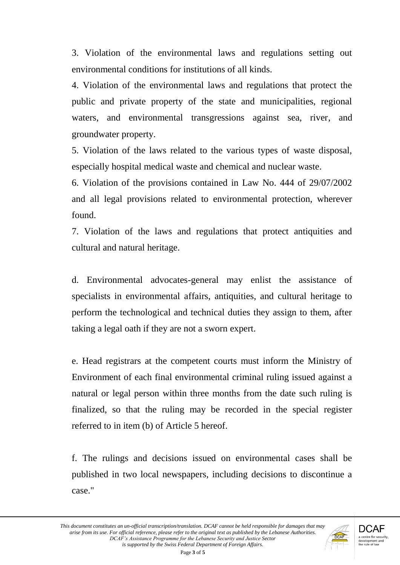3. Violation of the environmental laws and regulations setting out environmental conditions for institutions of all kinds.

4. Violation of the environmental laws and regulations that protect the public and private property of the state and municipalities, regional waters, and environmental transgressions against sea, river, and groundwater property.

5. Violation of the laws related to the various types of waste disposal, especially hospital medical waste and chemical and nuclear waste.

6. Violation of the provisions contained in Law No. 444 of 29/07/2002 and all legal provisions related to environmental protection, wherever found.

7. Violation of the laws and regulations that protect antiquities and cultural and natural heritage.

d. Environmental advocates-general may enlist the assistance of specialists in environmental affairs, antiquities, and cultural heritage to perform the technological and technical duties they assign to them, after taking a legal oath if they are not a sworn expert.

e. Head registrars at the competent courts must inform the Ministry of Environment of each final environmental criminal ruling issued against a natural or legal person within three months from the date such ruling is finalized, so that the ruling may be recorded in the special register referred to in item (b) of Article 5 hereof.

f. The rulings and decisions issued on environmental cases shall be published in two local newspapers, including decisions to discontinue a case."

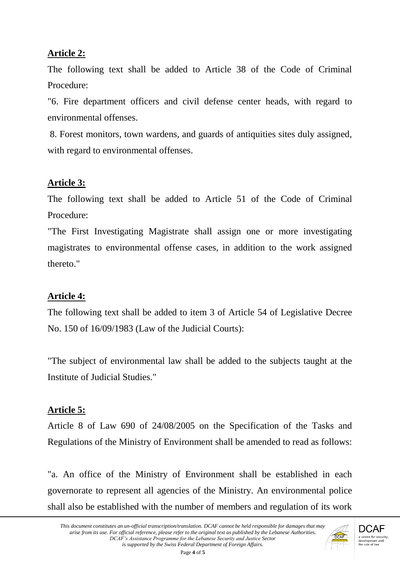## **Article 2:**

The following text shall be added to Article 38 of the Code of Criminal Procedure:

"6. Fire department officers and civil defense center heads, with regard to environmental offenses.

8. Forest monitors, town wardens, and guards of antiquities sites duly assigned, with regard to environmental offenses.

## **Article 3:**

The following text shall be added to Article 51 of the Code of Criminal Procedure:

"The First Investigating Magistrate shall assign one or more investigating magistrates to environmental offense cases, in addition to the work assigned thereto."

# **Article 4:**

The following text shall be added to item 3 of Article 54 of Legislative Decree No. 150 of 16/09/1983 (Law of the Judicial Courts):

"The subject of environmental law shall be added to the subjects taught at the Institute of Judicial Studies."

# **Article 5:**

Article 8 of Law 690 of 24/08/2005 on the Specification of the Tasks and Regulations of the Ministry of Environment shall be amended to read as follows:

"a. An office of the Ministry of Environment shall be established in each governorate to represent all agencies of the Ministry. An environmental police shall also be established with the number of members and regulation of its work